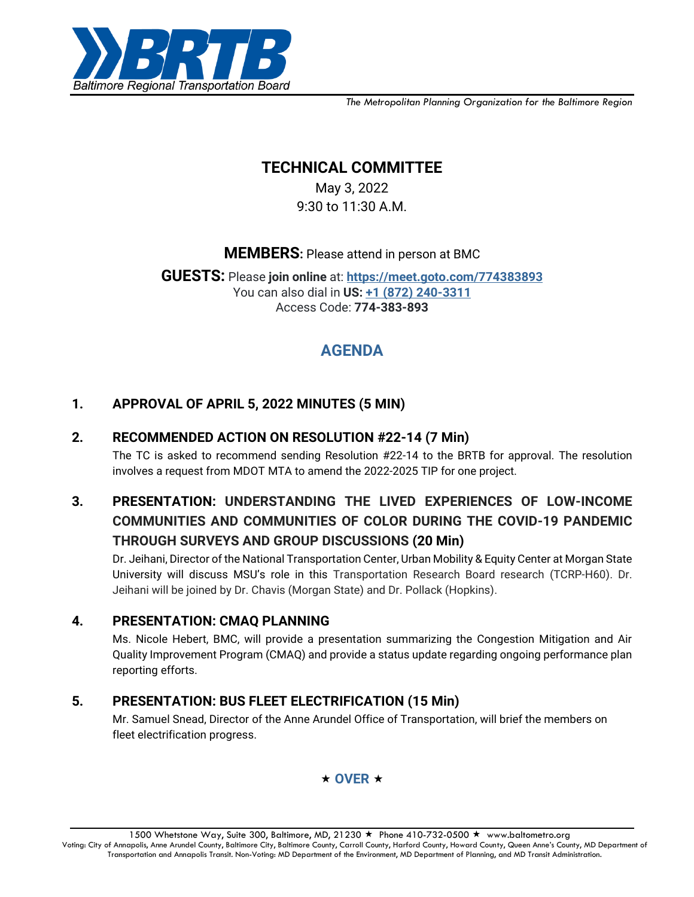

*The Metropolitan Planning Organization for the Baltimore Region*

# **TECHNICAL COMMITTEE**

May 3, 2022 9:30 to 11:30 A.M.

**MEMBERS:** Please attend in person at BMC

**GUESTS:** Please **join online** at: **<https://meet.goto.com/774383893>** You can also dial in **US: [+1 \(872\) 240-3311](tel:+18722403311,,774383893)** Access Code: **774-383-893**

# **AGENDA**

## **1. APPROVAL OF APRIL 5, 2022 MINUTES (5 MIN)**

### **2. RECOMMENDED ACTION ON RESOLUTION #22-14 (7 Min)**

The TC is asked to recommend sending Resolution #22-14 to the BRTB for approval. The resolution involves a request from MDOT MTA to amend the 2022-2025 TIP for one project.

# **3. PRESENTATION: UNDERSTANDING THE LIVED EXPERIENCES OF LOW-INCOME COMMUNITIES AND COMMUNITIES OF COLOR DURING THE COVID-19 PANDEMIC THROUGH SURVEYS AND GROUP DISCUSSIONS (20 Min)**

Dr. Jeihani, Director of the National Transportation Center, Urban Mobility & Equity Center at Morgan State University will discuss MSU's role in this Transportation Research Board research (TCRP-H60). Dr. Jeihani will be joined by Dr. Chavis (Morgan State) and Dr. Pollack (Hopkins).

### **4. PRESENTATION: CMAQ PLANNING**

Ms. Nicole Hebert, BMC, will provide a presentation summarizing the Congestion Mitigation and Air Quality Improvement Program (CMAQ) and provide a status update regarding ongoing performance plan reporting efforts.

## **5. PRESENTATION: BUS FLEET ELECTRIFICATION (15 Min)**

Mr. Samuel Snead, Director of the Anne Arundel Office of Transportation, will brief the members on fleet electrification progress.



1500 Whetstone Way, Suite 300, Baltimore, MD, 21230 ★ Phone 410-732-0500 ★ www.baltometro.org Voting: City of Annapolis, Anne Arundel County, Baltimore City, Baltimore County, Carroll County, Harford County, Howard County, Queen Anne's County, MD Department of Transportation and Annapolis Transit. Non-Voting: MD Department of the Environment, MD Department of Planning, and MD Transit Administration.